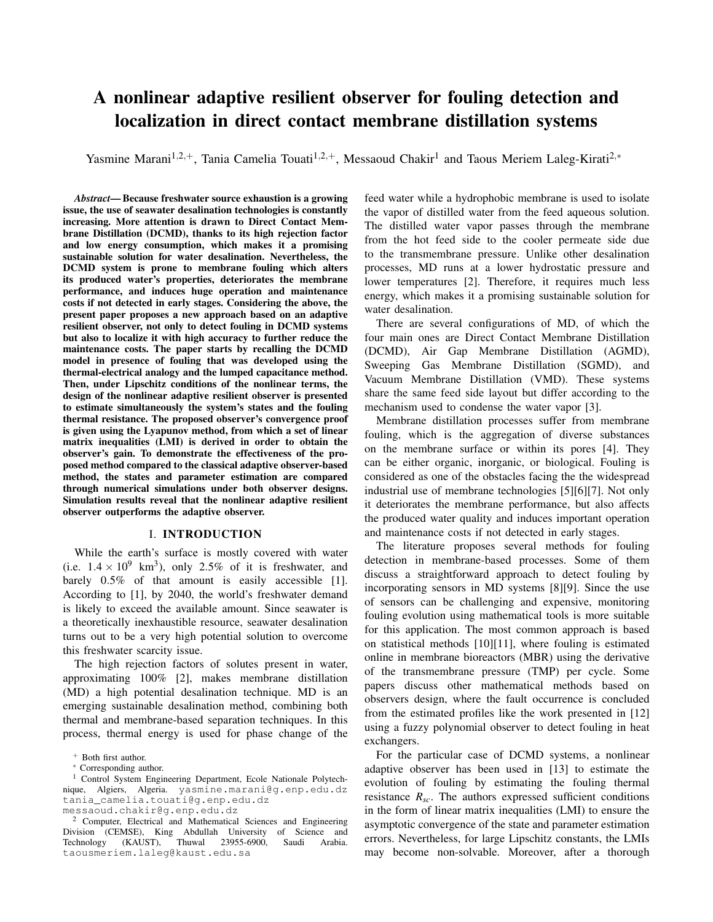# A nonlinear adaptive resilient observer for fouling detection and localization in direct contact membrane distillation systems

Yasmine Marani<sup>1,2,+</sup>, Tania Camelia Touati<sup>1,2,+</sup>, Messaoud Chakir<sup>1</sup> and Taous Meriem Laleg-Kirati<sup>2,∗</sup>

*Abstract*— Because freshwater source exhaustion is a growing issue, the use of seawater desalination technologies is constantly increasing. More attention is drawn to Direct Contact Membrane Distillation (DCMD), thanks to its high rejection factor and low energy consumption, which makes it a promising sustainable solution for water desalination. Nevertheless, the DCMD system is prone to membrane fouling which alters its produced water's properties, deteriorates the membrane performance, and induces huge operation and maintenance costs if not detected in early stages. Considering the above, the present paper proposes a new approach based on an adaptive resilient observer, not only to detect fouling in DCMD systems but also to localize it with high accuracy to further reduce the maintenance costs. The paper starts by recalling the DCMD model in presence of fouling that was developed using the thermal-electrical analogy and the lumped capacitance method. Then, under Lipschitz conditions of the nonlinear terms, the design of the nonlinear adaptive resilient observer is presented to estimate simultaneously the system's states and the fouling thermal resistance. The proposed observer's convergence proof is given using the Lyapunov method, from which a set of linear matrix inequalities (LMI) is derived in order to obtain the observer's gain. To demonstrate the effectiveness of the proposed method compared to the classical adaptive observer-based method, the states and parameter estimation are compared through numerical simulations under both observer designs. Simulation results reveal that the nonlinear adaptive resilient observer outperforms the adaptive observer.

#### I. INTRODUCTION

While the earth's surface is mostly covered with water (i.e.  $1.4 \times 10^9$  km<sup>3</sup>), only 2.5% of it is freshwater, and barely  $0.5\%$  of that amount is easily accessible [1]. According to [1], by 2040, the world's freshwater demand is likely to exceed the available amount. Since seawater is a theoretically inexhaustible resource, seawater desalination turns out to be a very high potential solution to overcome this freshwater scarcity issue.

The high rejection factors of solutes present in water, approximating 100% [2], makes membrane distillation (MD) a high potential desalination technique. MD is an emerging sustainable desalination method, combining both thermal and membrane-based separation techniques. In this process, thermal energy is used for phase change of the

feed water while a hydrophobic membrane is used to isolate the vapor of distilled water from the feed aqueous solution. The distilled water vapor passes through the membrane from the hot feed side to the cooler permeate side due to the transmembrane pressure. Unlike other desalination processes, MD runs at a lower hydrostatic pressure and lower temperatures [2]. Therefore, it requires much less energy, which makes it a promising sustainable solution for water desalination.

There are several configurations of MD, of which the four main ones are Direct Contact Membrane Distillation (DCMD), Air Gap Membrane Distillation (AGMD), Sweeping Gas Membrane Distillation (SGMD), and Vacuum Membrane Distillation (VMD). These systems share the same feed side layout but differ according to the mechanism used to condense the water vapor [3].

Membrane distillation processes suffer from membrane fouling, which is the aggregation of diverse substances on the membrane surface or within its pores [4]. They can be either organic, inorganic, or biological. Fouling is considered as one of the obstacles facing the the widespread industrial use of membrane technologies [5][6][7]. Not only it deteriorates the membrane performance, but also affects the produced water quality and induces important operation and maintenance costs if not detected in early stages.

The literature proposes several methods for fouling detection in membrane-based processes. Some of them discuss a straightforward approach to detect fouling by incorporating sensors in MD systems [8][9]. Since the use of sensors can be challenging and expensive, monitoring fouling evolution using mathematical tools is more suitable for this application. The most common approach is based on statistical methods [10][11], where fouling is estimated online in membrane bioreactors (MBR) using the derivative of the transmembrane pressure (TMP) per cycle. Some papers discuss other mathematical methods based on observers design, where the fault occurrence is concluded from the estimated profiles like the work presented in [12] using a fuzzy polynomial observer to detect fouling in heat exchangers.

For the particular case of DCMD systems, a nonlinear adaptive observer has been used in [13] to estimate the evolution of fouling by estimating the fouling thermal resistance  $R_{sc}$ . The authors expressed sufficient conditions in the form of linear matrix inequalities (LMI) to ensure the asymptotic convergence of the state and parameter estimation errors. Nevertheless, for large Lipschitz constants, the LMIs may become non-solvable. Moreover, after a thorough

<sup>+</sup> Both first author.

<sup>∗</sup> Corresponding author.

<sup>&</sup>lt;sup>1</sup> Control System Engineering Department, Ecole Nationale Polytechnique, Algiers, Algeria. yasmine.marani@g.enp.edu.dz tania\_camelia.touati@g.enp.edu.dz messaoud.chakir@g.enp.edu.dz

<sup>2</sup> Computer, Electrical and Mathematical Sciences and Engineering Division (CEMSE), King Abdullah University of Science and Technology (KAUST), Thuwal 23955-6900, Saudi Arabia. taousmeriem.laleg@kaust.edu.sa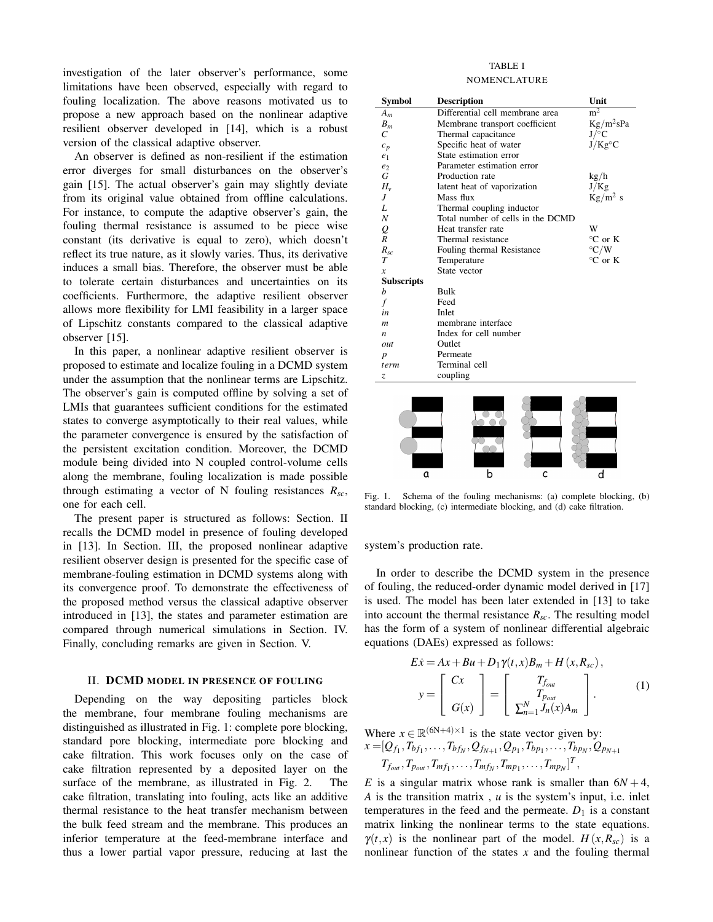investigation of the later observer's performance, some limitations have been observed, especially with regard to fouling localization. The above reasons motivated us to propose a new approach based on the nonlinear adaptive resilient observer developed in [14], which is a robust version of the classical adaptive observer.

An observer is defined as non-resilient if the estimation error diverges for small disturbances on the observer's gain [15]. The actual observer's gain may slightly deviate from its original value obtained from offline calculations. For instance, to compute the adaptive observer's gain, the fouling thermal resistance is assumed to be piece wise constant (its derivative is equal to zero), which doesn't reflect its true nature, as it slowly varies. Thus, its derivative induces a small bias. Therefore, the observer must be able to tolerate certain disturbances and uncertainties on its coefficients. Furthermore, the adaptive resilient observer allows more flexibility for LMI feasibility in a larger space of Lipschitz constants compared to the classical adaptive observer [15].

In this paper, a nonlinear adaptive resilient observer is proposed to estimate and localize fouling in a DCMD system under the assumption that the nonlinear terms are Lipschitz. The observer's gain is computed offline by solving a set of LMIs that guarantees sufficient conditions for the estimated states to converge asymptotically to their real values, while the parameter convergence is ensured by the satisfaction of the persistent excitation condition. Moreover, the DCMD module being divided into N coupled control-volume cells along the membrane, fouling localization is made possible through estimating a vector of N fouling resistances *Rsc*, one for each cell.

The present paper is structured as follows: Section. II recalls the DCMD model in presence of fouling developed in [13]. In Section. III, the proposed nonlinear adaptive resilient observer design is presented for the specific case of membrane-fouling estimation in DCMD systems along with its convergence proof. To demonstrate the effectiveness of the proposed method versus the classical adaptive observer introduced in [13], the states and parameter estimation are compared through numerical simulations in Section. IV. Finally, concluding remarks are given in Section. V.

### II. DCMD MODEL IN PRESENCE OF FOULING

Depending on the way depositing particles block the membrane, four membrane fouling mechanisms are distinguished as illustrated in Fig. 1: complete pore blocking, standard pore blocking, intermediate pore blocking and cake filtration. This work focuses only on the case of cake filtration represented by a deposited layer on the surface of the membrane, as illustrated in Fig. 2. The cake filtration, translating into fouling, acts like an additive thermal resistance to the heat transfer mechanism between the bulk feed stream and the membrane. This produces an inferior temperature at the feed-membrane interface and thus a lower partial vapor pressure, reducing at last the

## TABLE I NOMENCLATURE

| Symbol                         | <b>Description</b>                | Unit              |
|--------------------------------|-----------------------------------|-------------------|
| $A_m$                          | Differential cell membrane area   | $m^2$             |
| $B_m$                          | Membrane transport coefficient    | $Kg/m^2sPa$       |
| $\overline{C}$                 | Thermal capacitance               | $J$ /°C           |
| $c_p$                          | Specific heat of water            | $J/Kg^{\circ}C$   |
| e <sub>1</sub>                 | State estimation error            |                   |
| e <sub>2</sub>                 | Parameter estimation error        |                   |
| G                              | Production rate                   | kg/h              |
| $H_{v}$                        | latent heat of vaporization       | J/Kg              |
| J                              | Mass flux                         | $Kg/m^2$ s        |
| L                              | Thermal coupling inductor         |                   |
| $\boldsymbol{N}$               | Total number of cells in the DCMD |                   |
| $\displaystyle \mathop{Q}_{R}$ | Heat transfer rate                | W                 |
|                                | Thermal resistance                | $\mathrm{C}$ or K |
| $R_{sc}$                       | Fouling thermal Resistance        | $\mathrm{C/W}$    |
| $\tau$                         | Temperature                       | $^{\circ}$ C or K |
| $\boldsymbol{x}$               | State vector                      |                   |
| <b>Subscripts</b>              |                                   |                   |
| b                              | Bulk                              |                   |
| f                              | Feed                              |                   |
| in                             | Inlet                             |                   |
| $\boldsymbol{m}$               | membrane interface                |                   |
| n                              | Index for cell number             |                   |
| out                            | Outlet                            |                   |
| $\boldsymbol{p}$               | Permeate                          |                   |
| term                           | Terminal cell                     |                   |
| Z.                             | coupling                          |                   |
|                                |                                   |                   |



Fig. 1. Schema of the fouling mechanisms: (a) complete blocking, (b) standard blocking, (c) intermediate blocking, and (d) cake filtration.

system's production rate.

In order to describe the DCMD system in the presence of fouling, the reduced-order dynamic model derived in [17] is used. The model has been later extended in [13] to take into account the thermal resistance *Rsc*. The resulting model has the form of a system of nonlinear differential algebraic equations (DAEs) expressed as follows:

$$
E\dot{x} = Ax + Bu + D_1 \gamma(t, x)B_m + H(x, R_{sc}),
$$

$$
y = \begin{bmatrix} Cx \\ G(x) \end{bmatrix} = \begin{bmatrix} T_{f_{out}} \\ T_{p_{out}} \\ \Sigma_{n=1}^N J_n(x)A_m \end{bmatrix}.
$$
 (1)

Where  $x \in \mathbb{R}^{(6N+4) \times 1}$  is the state vector given by:  $x = [Q_{f_1}, T_{bf_1}, \ldots, T_{bf_N}, Q_{f_{N+1}}, Q_{p_1}, T_{bp_1}, \ldots, T_{bp_N}, Q_{p_{N+1}}]$ 

$$
T_{f_{out}}, T_{p_{out}}, T_{mf_1}, \ldots, T_{mf_N}, T_{mp_1}, \ldots, T_{mp_N}]^T,
$$

*E* is a singular matrix whose rank is smaller than  $6N+4$ , *A* is the transition matrix , *u* is the system's input, i.e. inlet temperatures in the feed and the permeate.  $D_1$  is a constant matrix linking the nonlinear terms to the state equations.  $\gamma(t, x)$  is the nonlinear part of the model.  $H(x, R_{sc})$  is a nonlinear function of the states *x* and the fouling thermal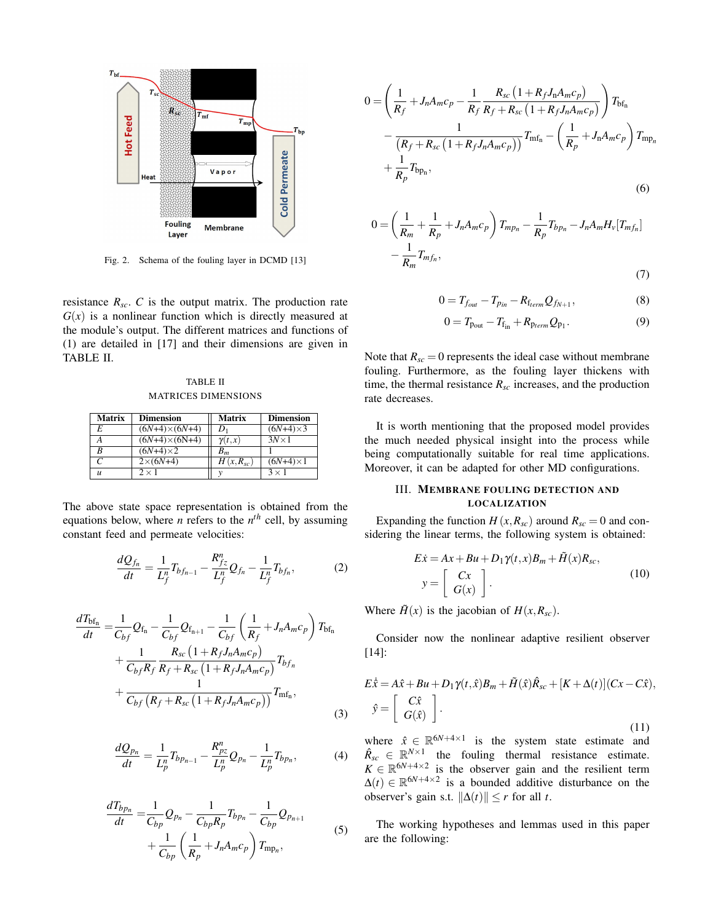

Fig. 2. Schema of the fouling layer in DCMD [13]

resistance  $R_{sc}$ .  $C$  is the output matrix. The production rate  $G(x)$  is a nonlinear function which is directly measured at the module's output. The different matrices and functions of (1) are detailed in [17] and their dimensions are given in TABLE II.

TABLE II MATRICES DIMENSIONS

| <b>Matrix</b> | <b>Dimension</b>     | <b>Matrix</b> | <b>Dimension</b>  |
|---------------|----------------------|---------------|-------------------|
| E             | $(6N+4)\times(6N+4)$ | Dı            | $(6N+4) \times 3$ |
| А             | $(6N+4)\times(6N+4)$ | $\gamma(t,x)$ | $3N \times 1$     |
| R             | $(6N+4) \times 2$    | $B_m$         |                   |
|               | $2\times (6N+4)$     | $H(x,R_{sc})$ | $(6N+4) \times 1$ |
| $\mathcal{U}$ | $2 \times 1$         |               | $3 \times 1$      |

The above state space representation is obtained from the equations below, where *n* refers to the  $n<sup>th</sup>$  cell, by assuming constant feed and permeate velocities:

$$
\frac{dQ_{f_n}}{dt} = \frac{1}{L_f^n} T_{bf_{n-1}} - \frac{R_{fz}^n}{L_f^n} Q_{f_n} - \frac{1}{L_f^n} T_{bf_n},\tag{2}
$$

$$
\frac{dT_{bf_n}}{dt} = \frac{1}{C_{bf}} Q_{f_n} - \frac{1}{C_{bf}} Q_{f_{n+1}} - \frac{1}{C_{bf}} \left( \frac{1}{R_f} + J_n A_m c_p \right) T_{bf_n} \n+ \frac{1}{C_{bf} R_f} \frac{R_{sc} \left( 1 + R_f J_n A_m c_p \right)}{R_f + R_{sc} \left( 1 + R_f J_n A_m c_p \right)} T_{bf_n} \n+ \frac{1}{C_{bf} \left( R_f + R_{sc} \left( 1 + R_f J_n A_m c_p \right) \right)} T_{\text{m}f_n},
$$
\n(3)

$$
\frac{dQ_{p_n}}{dt} = \frac{1}{L_p^n} T_{bp_{n-1}} - \frac{R_{pz}^n}{L_p^n} Q_{p_n} - \frac{1}{L_p^n} T_{bp_n},\tag{4}
$$

$$
\frac{dT_{bp_n}}{dt} = \frac{1}{C_{bp}} Q_{p_n} - \frac{1}{C_{bp}R_p} T_{bp_n} - \frac{1}{C_{bp}} Q_{p_{n+1}} + \frac{1}{C_{bp}} \left(\frac{1}{R_p} + J_n A_m c_p\right) T_{\text{mp}_n},\tag{5}
$$

$$
0 = \left(\frac{1}{R_f} + J_n A_m c_p - \frac{1}{R_f} \frac{R_{sc} \left(1 + R_f J_n A_m c_p\right)}{R_f + R_{sc} \left(1 + R_f J_n A_m c_p\right)}\right) T_{\text{bf}_{n}}
$$

$$
- \frac{1}{\left(R_f + R_{sc} \left(1 + R_f J_n A_m c_p\right)\right)} T_{\text{mfn}} - \left(\frac{1}{R_p} + J_n A_m c_p\right) T_{\text{mp}_n}
$$

$$
+ \frac{1}{R_p} T_{\text{bp}_n}, \tag{6}
$$

$$
0 = \left(\frac{1}{R_m} + \frac{1}{R_p} + J_n A_m c_p\right) T_{mpn} - \frac{1}{R_p} T_{bp_n} - J_n A_m H_v [T_{mf_n}]
$$
  

$$
-\frac{1}{R_m} T_{mf_n},
$$
  
(7)

$$
0 = T_{f_{out}} - T_{p_{in}} - R_{f_{term}} Q_{f_{N+1}},
$$
\n(8)

$$
0 = T_{\text{p}_{\text{out}}} - T_{\text{f}_{\text{in}}} + R_{\text{p}_{\text{term}}} Q_{\text{p}_1}.
$$
 (9)

Note that  $R_{sc} = 0$  represents the ideal case without membrane fouling. Furthermore, as the fouling layer thickens with time, the thermal resistance  $R_{sc}$  increases, and the production rate decreases.

It is worth mentioning that the proposed model provides the much needed physical insight into the process while being computationally suitable for real time applications. Moreover, it can be adapted for other MD configurations.

# III. MEMBRANE FOULING DETECTION AND LOCALIZATION

Expanding the function  $H(x, R_{sc})$  around  $R_{sc} = 0$  and considering the linear terms, the following system is obtained:

$$
E\dot{x} = Ax + Bu + D_1 \gamma(t, x)B_m + \tilde{H}(x)R_{sc},
$$
  

$$
y = \begin{bmatrix} Cx \\ G(x) \end{bmatrix}.
$$
 (10)

Where  $\tilde{H}(x)$  is the jacobian of  $H(x, R_{sc})$ .

Consider now the nonlinear adaptive resilient observer [14]:

$$
E\hat{x} = A\hat{x} + Bu + D_1\gamma(t, \hat{x})B_m + \tilde{H}(\hat{x})\hat{R}_{sc} + [K + \Delta(t)](Cx - C\hat{x}),
$$
  

$$
\hat{y} = \begin{bmatrix} C\hat{x} \\ G(\hat{x}) \end{bmatrix}.
$$
 (11)

where  $\hat{x} \in \mathbb{R}^{6N+4\times1}$  is the system state estimate and  $\hat{R}_{sc} \in \mathbb{R}^{N \times 1}$  the fouling thermal resistance estimate.  $K \in \mathbb{R}^{6N+4\times2}$  is the observer gain and the resilient term  $\Delta(t) \in \mathbb{R}^{6N+4\times2}$  is a bounded additive disturbance on the observer's gain s.t.  $\|\Delta(t)\| \leq r$  for all *t*.

The working hypotheses and lemmas used in this paper are the following: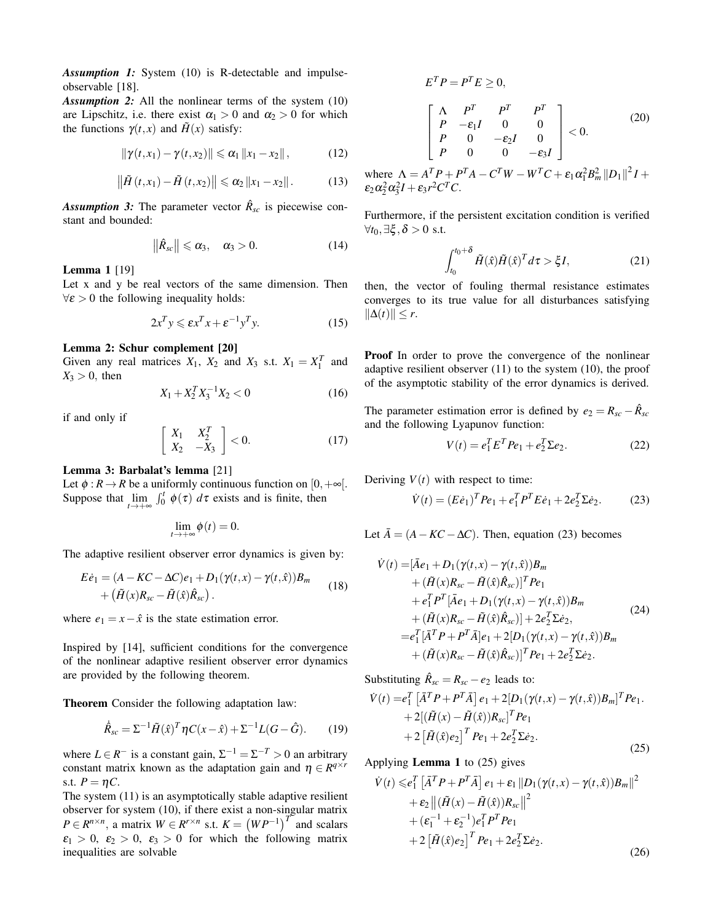*Assumption 1:* System (10) is R-detectable and impulseobservable [18].

*Assumption 2:* All the nonlinear terms of the system (10) are Lipschitz, i.e. there exist  $\alpha_1 > 0$  and  $\alpha_2 > 0$  for which the functions  $\gamma(t, x)$  and  $\tilde{H}(x)$  satisfy:

$$
\|\gamma(t,x_1)-\gamma(t,x_2)\| \leq \alpha_1\, \|x_1-x_2\| \,,\tag{12}
$$

$$
\left\|\tilde{H}\left(t,x_1\right)-\tilde{H}\left(t,x_2\right)\right\|\leqslant\alpha_2\left\|x_1-x_2\right\|.\tag{13}
$$

*Assumption 3:* The parameter vector  $\hat{R}_{sc}$  is piecewise constant and bounded:

$$
\left\|\hat{R}_{sc}\right\| \leqslant \alpha_3, \quad \alpha_3 > 0. \tag{14}
$$

Lemma 1 [19]

Let x and y be real vectors of the same dimension. Then  $\forall \varepsilon > 0$  the following inequality holds:

$$
2x^T y \le \varepsilon x^T x + \varepsilon^{-1} y^T y. \tag{15}
$$

## Lemma 2: Schur complement [20]

Given any real matrices  $X_1$ ,  $X_2$  and  $X_3$  s.t.  $X_1 = X_1^T$  and  $X_3 > 0$ , then

$$
X_1 + X_2^T X_3^{-1} X_2 < 0 \tag{16}
$$

if and only if

$$
\left[\begin{array}{cc} X_1 & X_2^T \\ X_2 & -X_3 \end{array}\right] < 0. \tag{17}
$$

# Lemma 3: Barbalat's lemma [21]

Let  $\phi : R \to R$  be a uniformly continuous function on  $[0, +\infty]$ . Suppose that  $\lim_{t \to +\infty} \int_0^t \phi(\tau) d\tau$  exists and is finite, then

$$
\lim_{t\to+\infty}\phi(t)=0.
$$

The adaptive resilient observer error dynamics is given by:

$$
E\dot{e}_1 = (A - KC - \Delta C)e_1 + D_1(\gamma(t, x) - \gamma(t, \hat{x}))B_m
$$
  
+ 
$$
(\tilde{H}(x)R_{sc} - \tilde{H}(\hat{x})\hat{R}_{sc}).
$$
 (18)

where  $e_1 = x - \hat{x}$  is the state estimation error.

Inspired by [14], sufficient conditions for the convergence of the nonlinear adaptive resilient observer error dynamics are provided by the following theorem.

Theorem Consider the following adaptation law:

$$
\dot{\hat{R}}_{sc} = \Sigma^{-1} \tilde{H}(\hat{x})^T \eta C(x - \hat{x}) + \Sigma^{-1} L(G - \hat{G}).
$$
 (19)

where  $L \in R^-$  is a constant gain,  $\Sigma^{-1} = \Sigma^{-T} > 0$  an arbitrary constant matrix known as the adaptation gain and  $\eta \in R^{q \times r}$ s.t.  $P = \eta C$ .

The system (11) is an asymptotically stable adaptive resilient observer for system (10), if there exist a non-singular matrix  $P \in R^{n \times n}$ , a matrix  $W \in R^{r \times n}$  s.t.  $K = (WP^{-1})^T$  and scalars  $\epsilon_1 > 0$ ,  $\epsilon_2 > 0$ ,  $\epsilon_3 > 0$  for which the following matrix inequalities are solvable

$$
E^{T}P = P^{T}E \ge 0,
$$
  
\n
$$
\begin{bmatrix}\n\Lambda & P^{T} & P^{T} \\
P & -\varepsilon_{1}I & 0 & 0 \\
P & 0 & -\varepsilon_{2}I & 0 \\
P & 0 & 0 & -\varepsilon_{3}I\n\end{bmatrix} < 0.
$$
 (20)

where  $\Lambda = A^T P + P^T A - C^T W - W^T C + \varepsilon_1 \alpha_1^2 B_m^2 ||D_1||^2 I +$  $\varepsilon_2 \alpha_2^2 \alpha_3^2 I + \varepsilon_3 r^2 C^T C$ .

Furthermore, if the persistent excitation condition is verified  $\forall t_0, \exists \xi, \delta > 0$  s.t.

$$
\int_{t_0}^{t_0+\delta} \tilde{H}(\hat{x})\tilde{H}(\hat{x})^T d\tau > \xi I,
$$
 (21)

then, the vector of fouling thermal resistance estimates converges to its true value for all disturbances satisfying  $||\Delta(t)||$  ≤ *r*.

Proof In order to prove the convergence of the nonlinear adaptive resilient observer (11) to the system (10), the proof of the asymptotic stability of the error dynamics is derived.

The parameter estimation error is defined by  $e_2 = R_{sc} - \hat{R}_{sc}$ and the following Lyapunov function:

$$
V(t) = e_1^T E^T P e_1 + e_2^T \Sigma e_2.
$$
 (22)

Deriving  $V(t)$  with respect to time:

$$
\dot{V}(t) = (E\dot{e}_1)^T P e_1 + e_1^T P^T E \dot{e}_1 + 2e_2^T \Sigma \dot{e}_2.
$$
 (23)

Let  $\overline{A} = (A - KC - \Delta C)$ . Then, equation (23) becomes

$$
\dot{V}(t) = [\bar{A}e_1 + D_1(\gamma(t,x) - \gamma(t,\hat{x}))B_m \n+ (\tilde{H}(x)R_{sc} - \tilde{H}(\hat{x})\hat{R}_{sc})]^T Pe_1 \n+ e_1^T P^T [\bar{A}e_1 + D_1(\gamma(t,x) - \gamma(t,\hat{x}))B_m \n+ (\tilde{H}(x)R_{sc} - \tilde{H}(\hat{x})\hat{R}_{sc})] + 2e_2^T \Sigma \dot{e}_2, \n= e_1^T [\bar{A}^T P + P^T \bar{A}]e_1 + 2[D_1(\gamma(t,x) - \gamma(t,\hat{x}))B_m \n+ (\tilde{H}(x)R_{sc} - \tilde{H}(\hat{x})\hat{R}_{sc})]^T Pe_1 + 2e_2^T \Sigma \dot{e}_2.
$$
\n(24)

Substituting  $\hat{R}_{sc} = R_{sc} - e_2$  leads to:

$$
\dot{V}(t) = e_1^T \left[ \bar{A}^T P + P^T \bar{A} \right] e_1 + 2 [D_1(\gamma(t, x) - \gamma(t, \hat{x})) B_m]^T P e_1.
$$
  
+ 2[(\tilde{H}(x) - \tilde{H}(\hat{x})) R\_{sc}]^T P e\_1  
+ 2 [\tilde{H}(\hat{x}) e\_2]^T P e\_1 + 2 e\_2^T \Sigma \dot{e}\_2. (25)

Applying Lemma 1 to (25) gives

$$
\dot{V}(t) \leq e_1^T \left[ \bar{A}^T P + P^T \bar{A} \right] e_1 + \varepsilon_1 \| D_1(\gamma(t, x) - \gamma(t, \hat{x})) B_m \|^2 \n+ \varepsilon_2 \| (\tilde{H}(x) - \tilde{H}(\hat{x})) R_{sc} \|^2 \n+ (\varepsilon_1^{-1} + \varepsilon_2^{-1}) e_1^T P^T P e_1 \n+ 2 \left[ \tilde{H}(\hat{x}) e_2 \right]^T P e_1 + 2 e_2^T \Sigma e_2.
$$
\n(26)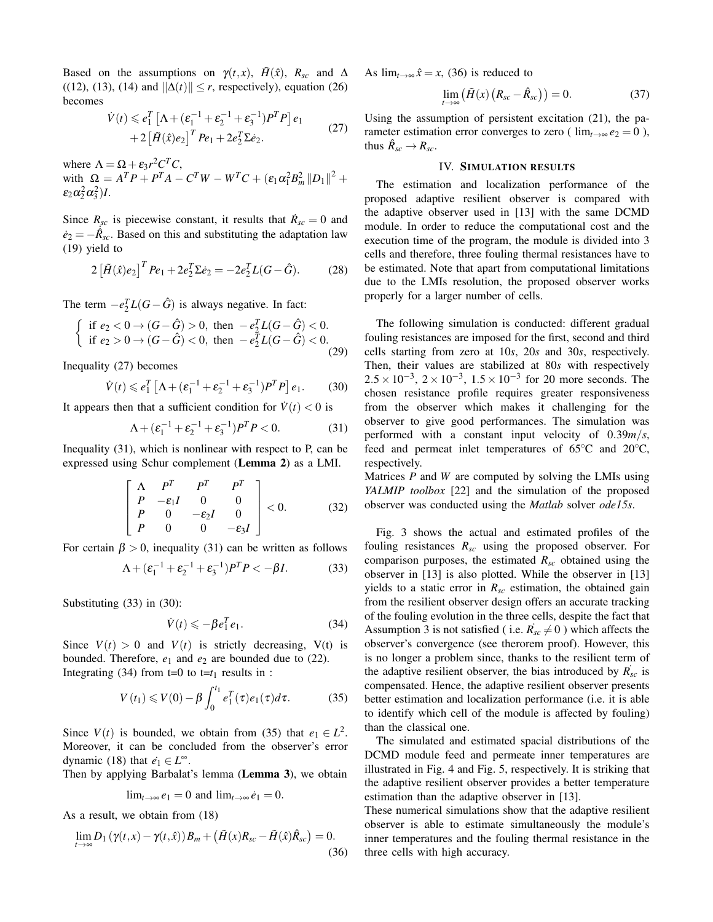Based on the assumptions on  $\gamma(t, x)$ ,  $\tilde{H}(\hat{x})$ ,  $R_{sc}$  and  $\Delta$ ((12), (13), (14) and  $\|\Delta(t)\| \le r$ , respectively), equation (26) becomes

$$
\dot{V}(t) \leq e_1^T \left[ \Lambda + (\varepsilon_1^{-1} + \varepsilon_2^{-1} + \varepsilon_3^{-1}) P^T P \right] e_1 + 2 \left[ \tilde{H}(\hat{x}) e_2 \right]^T P e_1 + 2 e_2^T \Sigma \dot{e}_2.
$$
\n(27)

where  $\Lambda = \Omega + \varepsilon_3 r^2 C^T C$ , with  $\Omega = A^T P + P^T A - C^T W - W^T C + (\varepsilon_1 \alpha_1^2 B_m^2 ||D_1||^2 +$  $\varepsilon_2 \alpha_2^2 \alpha_3^2$ )*I*.

Since  $R_{\text{sc}}$  is piecewise constant, it results that  $\dot{R}_{\text{sc}} = 0$  and  $\dot{e}_2 = -\dot{\hat{R}_{sc}}$ . Based on this and substituting the adaptation law (19) yield to

$$
2\left[\tilde{H}(\hat{x})e_2\right]^T Pe_1 + 2e_2^T \Sigma \dot{e}_2 = -2e_2^T L(G - \hat{G}).\tag{28}
$$

The term  $-e_2^T L(G - \hat{G})$  is always negative. In fact:

$$
\begin{cases} \text{ if } e_2 < 0 \to (G - \hat{G}) > 0, \text{ then } -e_2^T L(G - \hat{G}) < 0. \\ \text{ if } e_2 > 0 \to (G - \hat{G}) < 0, \text{ then } -e_2^T L(G - \hat{G}) < 0. \end{cases}
$$
(29)

Inequality (27) becomes

$$
\dot{V}(t) \leq e_1^T \left[ \Lambda + (\varepsilon_1^{-1} + \varepsilon_2^{-1} + \varepsilon_3^{-1}) P^T P \right] e_1.
$$
 (30)

It appears then that a sufficient condition for  $\dot{V}(t) < 0$  is

$$
\Lambda + (\varepsilon_1^{-1} + \varepsilon_2^{-1} + \varepsilon_3^{-1})P^T P < 0. \tag{31}
$$

Inequality (31), which is nonlinear with respect to P, can be expressed using Schur complement (Lemma 2) as a LMI.

$$
\begin{bmatrix}\n\Lambda & P^T & P^T & P^T \\
P & -\varepsilon_1 I & 0 & 0 \\
P & 0 & -\varepsilon_2 I & 0 \\
P & 0 & 0 & -\varepsilon_3 I\n\end{bmatrix} < 0.
$$
\n(32)

For certain  $\beta > 0$ , inequality (31) can be written as follows

$$
\Lambda + (\varepsilon_1^{-1} + \varepsilon_2^{-1} + \varepsilon_3^{-1})P^T P < -\beta I. \tag{33}
$$

Substituting (33) in (30):

$$
\dot{V}(t) \leqslant -\beta e_1^T e_1. \tag{34}
$$

Since  $V(t) > 0$  and  $V(t)$  is strictly decreasing,  $V(t)$  is bounded. Therefore,  $e_1$  and  $e_2$  are bounded due to (22). Integrating (34) from  $t=0$  to  $t=t_1$  results in :

$$
V(t_1) \leq V(0) - \beta \int_0^{t_1} e_1^T(\tau) e_1(\tau) d\tau.
$$
 (35)

Since  $V(t)$  is bounded, we obtain from (35) that  $e_1 \in L^2$ . Moreover, it can be concluded from the observer's error dynamic (18) that  $\dot{e}_1 \in L^{\infty}$ .

Then by applying Barbalat's lemma (Lemma 3), we obtain

$$
\lim_{t\to\infty}e_1=0 \text{ and } \lim_{t\to\infty}\dot{e}_1=0.
$$

As a result, we obtain from (18)

$$
\lim_{t \to \infty} D_1 \left( \gamma(t, x) - \gamma(t, \hat{x}) \right) B_m + \left( \tilde{H}(x) R_{sc} - \tilde{H}(\hat{x}) \hat{R}_{sc} \right) = 0. \tag{36}
$$

As  $\lim_{t\to\infty} \hat{x} = x$ , (36) is reduced to

$$
\lim_{t \to \infty} (\tilde{H}(x) (R_{sc} - \hat{R}_{sc})) = 0.
$$
 (37)

Using the assumption of persistent excitation (21), the parameter estimation error converges to zero ( $\lim_{t\to\infty}e_2=0$ ), thus  $\hat{R}_{\mathit{sc}} \rightarrow R_{\mathit{sc}}$ .

## IV. SIMULATION RESULTS

The estimation and localization performance of the proposed adaptive resilient observer is compared with the adaptive observer used in [13] with the same DCMD module. In order to reduce the computational cost and the execution time of the program, the module is divided into 3 cells and therefore, three fouling thermal resistances have to be estimated. Note that apart from computational limitations due to the LMIs resolution, the proposed observer works properly for a larger number of cells.

The following simulation is conducted: different gradual fouling resistances are imposed for the first, second and third cells starting from zero at 10*s*, 20*s* and 30*s*, respectively. Then, their values are stabilized at 80*s* with respectively  $2.5 \times 10^{-3}$ ,  $2 \times 10^{-3}$ ,  $1.5 \times 10^{-3}$  for 20 more seconds. The chosen resistance profile requires greater responsiveness from the observer which makes it challenging for the observer to give good performances. The simulation was performed with a constant input velocity of 0.39*m*/*s*, feed and permeat inlet temperatures of 65◦C and 20◦C, respectively.

Matrices *P* and *W* are computed by solving the LMIs using *YALMIP toolbox* [22] and the simulation of the proposed observer was conducted using the *Matlab* solver *ode15s*.

Fig. 3 shows the actual and estimated profiles of the fouling resistances *Rsc* using the proposed observer. For comparison purposes, the estimated *Rsc* obtained using the observer in [13] is also plotted. While the observer in [13] yields to a static error in  $R_{sc}$  estimation, the obtained gain from the resilient observer design offers an accurate tracking of the fouling evolution in the three cells, despite the fact that Assumption 3 is not satisfied (i.e.  $\vec{R_{sc}} \neq 0$ ) which affects the observer's convergence (see therorem proof). However, this is no longer a problem since, thanks to the resilient term of the adaptive resilient observer, the bias introduced by  $\vec{R}_{sc}$  is compensated. Hence, the adaptive resilient observer presents better estimation and localization performance (i.e. it is able to identify which cell of the module is affected by fouling) than the classical one.

The simulated and estimated spacial distributions of the DCMD module feed and permeate inner temperatures are illustrated in Fig. 4 and Fig. 5, respectively. It is striking that the adaptive resilient observer provides a better temperature estimation than the adaptive observer in [13].

These numerical simulations show that the adaptive resilient observer is able to estimate simultaneously the module's inner temperatures and the fouling thermal resistance in the three cells with high accuracy.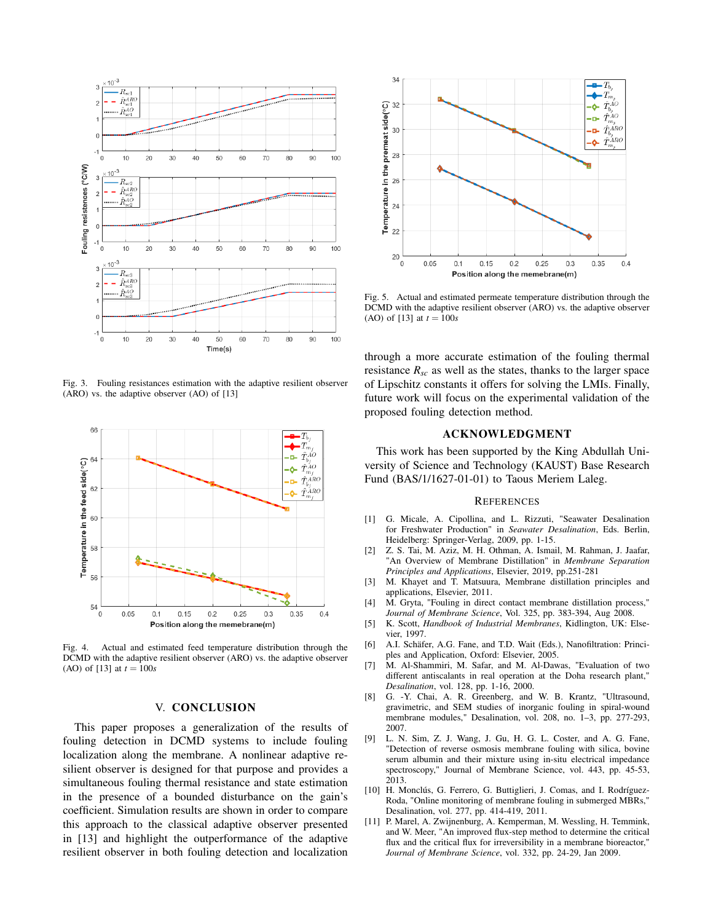

Fig. 3. Fouling resistances estimation with the adaptive resilient observer (ARO) vs. the adaptive observer (AO) of [13]



Fig. 4. Actual and estimated feed temperature distribution through the DCMD with the adaptive resilient observer (ARO) vs. the adaptive observer (AO) of [13] at  $t = 100s$ 

### V. CONCLUSION

This paper proposes a generalization of the results of fouling detection in DCMD systems to include fouling localization along the membrane. A nonlinear adaptive resilient observer is designed for that purpose and provides a simultaneous fouling thermal resistance and state estimation in the presence of a bounded disturbance on the gain's coefficient. Simulation results are shown in order to compare this approach to the classical adaptive observer presented in [13] and highlight the outperformance of the adaptive resilient observer in both fouling detection and localization



Fig. 5. Actual and estimated permeate temperature distribution through the DCMD with the adaptive resilient observer (ARO) vs. the adaptive observer (AO) of [13] at *t* = 100*s*

through a more accurate estimation of the fouling thermal resistance  $R_{sc}$  as well as the states, thanks to the larger space of Lipschitz constants it offers for solving the LMIs. Finally, future work will focus on the experimental validation of the proposed fouling detection method.

## ACKNOWLEDGMENT

This work has been supported by the King Abdullah University of Science and Technology (KAUST) Base Research Fund (BAS/1/1627-01-01) to Taous Meriem Laleg.

## **REFERENCES**

- [1] G. Micale, A. Cipollina, and L. Rizzuti, "Seawater Desalination for Freshwater Production" in *Seawater Desalination*, Eds. Berlin, Heidelberg: Springer-Verlag, 2009, pp. 1-15.
- [2] Z. S. Tai, M. Aziz, M. H. Othman, A. Ismail, M. Rahman, J. Jaafar, "An Overview of Membrane Distillation" in *Membrane Separation Principles and Applications*, Elsevier, 2019, pp.251-281
- [3] M. Khayet and T. Matsuura, Membrane distillation principles and applications, Elsevier, 2011.
- [4] M. Gryta, "Fouling in direct contact membrane distillation process," *Journal of Membrane Science*, Vol. 325, pp. 383-394, Aug 2008.
- [5] K. Scott, *Handbook of Industrial Membranes*, Kidlington, UK: Elsevier, 1997.
- [6] A.I. Schäfer, A.G. Fane, and T.D. Wait (Eds.), Nanofiltration: Principles and Application, Oxford: Elsevier, 2005.
- [7] M. Al-Shammiri, M. Safar, and M. Al-Dawas, "Evaluation of two different antiscalants in real operation at the Doha research plant," *Desalination*, vol. 128, pp. 1-16, 2000.
- [8] G. -Y. Chai, A. R. Greenberg, and W. B. Krantz, "Ultrasound, gravimetric, and SEM studies of inorganic fouling in spiral-wound membrane modules," Desalination, vol. 208, no. 1–3, pp. 277-293, 2007.
- [9] L. N. Sim, Z. J. Wang, J. Gu, H. G. L. Coster, and A. G. Fane, "Detection of reverse osmosis membrane fouling with silica, bovine serum albumin and their mixture using in-situ electrical impedance spectroscopy," Journal of Membrane Science, vol. 443, pp. 45-53, 2013.
- [10] H. Monclús, G. Ferrero, G. Buttiglieri, J. Comas, and I. Rodríguez-Roda, "Online monitoring of membrane fouling in submerged MBRs," Desalination, vol. 277, pp. 414-419, 2011.
- [11] P. Marel, A. Zwijnenburg, A. Kemperman, M. Wessling, H. Temmink, and W. Meer, "An improved flux-step method to determine the critical flux and the critical flux for irreversibility in a membrane bioreactor, *Journal of Membrane Science*, vol. 332, pp. 24-29, Jan 2009.